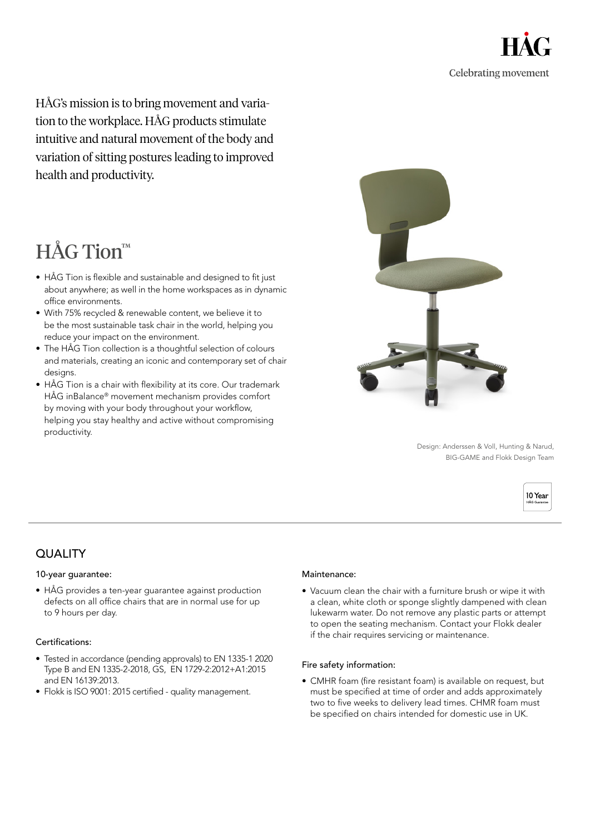

HÅG's mission is to bring movement and variation to the workplace. HÅG products stimulate intuitive and natural movement of the body and variation of sitting postures leading to improved health and productivity.

# HÅG Tion™

- HÅG Tion is flexible and sustainable and designed to fit just about anywhere; as well in the home workspaces as in dynamic office environments.
- With 75% recycled & renewable content, we believe it to be the most sustainable task chair in the world, helping you reduce your impact on the environment.
- The HÅG Tion collection is a thoughtful selection of colours and materials, creating an iconic and contemporary set of chair designs.
- HÅG Tion is a chair with flexibility at its core. Our trademark HÅG inBalance® movement mechanism provides comfort by moving with your body throughout your workflow, helping you stay healthy and active without compromising productivity.



Design: Anderssen & Voll, Hunting & Narud, BIG-GAME and Flokk Design Team



# QUALITY

## 10-year guarantee:

• HÅG provides a ten-year guarantee against production defects on all office chairs that are in normal use for up to 9 hours per day.

## Certifications:

- Tested in accordance (pending approvals) to EN 1335-1 2020 Type B and EN 1335-2-2018, GS, EN 1729-2:2012+A1:2015 and EN 16139:2013.
- Flokk is ISO 9001: 2015 certified quality management.

#### Maintenance:

• Vacuum clean the chair with a furniture brush or wipe it with a clean, white cloth or sponge slightly dampened with clean lukewarm water. Do not remove any plastic parts or attempt to open the seating mechanism. Contact your Flokk dealer if the chair requires servicing or maintenance.

#### Fire safety information:

• CMHR foam (fire resistant foam) is available on request, but must be specified at time of order and adds approximately two to five weeks to delivery lead times. CHMR foam must be specified on chairs intended for domestic use in UK.